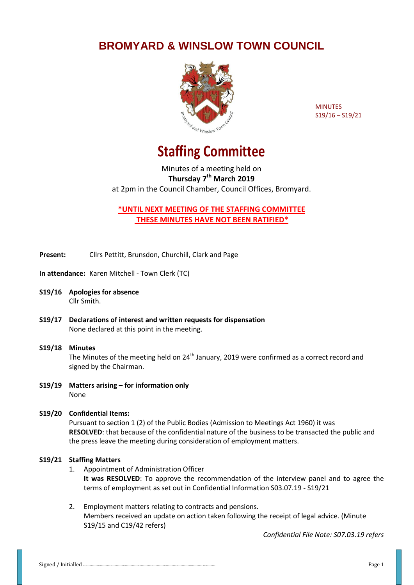## **BROMYARD & WINSLOW TOWN COUNCIL**



MINUTES S19/16 – S19/21

## **Staffing Committee**

Minutes of a meeting held on **Thursday 7 th March 2019** at 2pm in the Council Chamber, Council Offices, Bromyard.

**\*UNTIL NEXT MEETING OF THE STAFFING COMMITTEE THESE MINUTES HAVE NOT BEEN RATIFIED\***

**Present:** Cllrs Pettitt, Brunsdon, Churchill, Clark and Page

**In attendance:** Karen Mitchell - Town Clerk (TC)

- **S19/16 Apologies for absence** Cllr Smith.
- **S19/17 Declarations of interest and written requests for dispensation** None declared at this point in the meeting.
- **S19/18 Minutes**  The Minutes of the meeting held on 24<sup>th</sup> January, 2019 were confirmed as a correct record and signed by the Chairman.
- **S19/19 Matters arising – for information only** None
- **S19/20 Confidential Items:** Pursuant to section 1 (2) of the Public Bodies (Admission to Meetings Act 1960) it was **RESOLVED**: that because of the confidential nature of the business to be transacted the public and the press leave the meeting during consideration of employment matters.

## **S19/21 Staffing Matters**

- 1. Appointment of Administration Officer **It was RESOLVED**: To approve the recommendation of the interview panel and to agree the terms of employment as set out in Confidential Information S03.07.19 - S19/21
- 2. Employment matters relating to contracts and pensions. Members received an update on action taken following the receipt of legal advice. (Minute S19/15 and C19/42 refers)

*Confidential File Note: S07.03.19 refers*